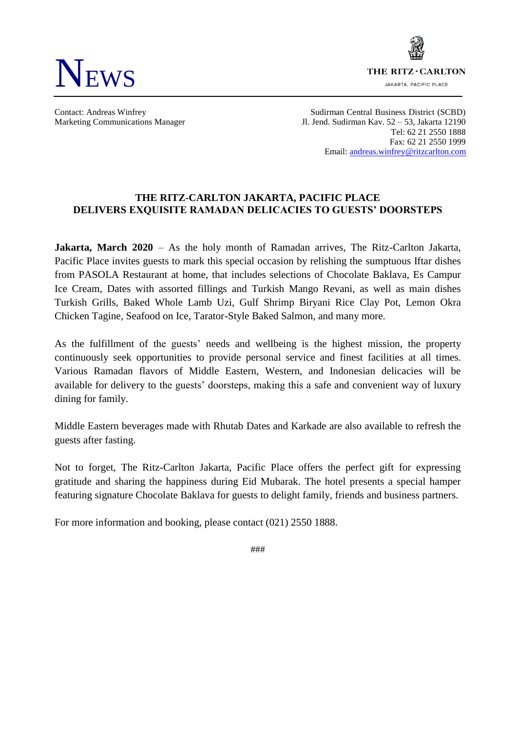



Contact: Andreas Winfrey Sudirman Central Business District (SCBD) Marketing Communications Manager Jl. Jend. Sudirman Kav. 52 – 53, Jakarta 12190 Tel: 62 21 2550 1888 Fax: 62 21 2550 1999 Email[: andreas.winfrey@ritzcarlton.com](mailto:andreas.winfrey@ritzcarlton.com)

## **THE RITZ-CARLTON JAKARTA, PACIFIC PLACE DELIVERS EXQUISITE RAMADAN DELICACIES TO GUESTS' DOORSTEPS**

**Jakarta, March 2020** – As the holy month of Ramadan arrives, The Ritz-Carlton Jakarta, Pacific Place invites guests to mark this special occasion by relishing the sumptuous Iftar dishes from PASOLA Restaurant at home, that includes selections of Chocolate Baklava, Es Campur Ice Cream, Dates with assorted fillings and Turkish Mango Revani, as well as main dishes Turkish Grills, Baked Whole Lamb Uzi, Gulf Shrimp Biryani Rice Clay Pot, Lemon Okra Chicken Tagine, Seafood on Ice, Tarator-Style Baked Salmon, and many more.

As the fulfillment of the guests' needs and wellbeing is the highest mission, the property continuously seek opportunities to provide personal service and finest facilities at all times. Various Ramadan flavors of Middle Eastern, Western, and Indonesian delicacies will be available for delivery to the guests' doorsteps, making this a safe and convenient way of luxury dining for family.

Middle Eastern beverages made with Rhutab Dates and Karkade are also available to refresh the guests after fasting.

Not to forget, The Ritz-Carlton Jakarta, Pacific Place offers the perfect gift for expressing gratitude and sharing the happiness during Eid Mubarak. The hotel presents a special hamper featuring signature Chocolate Baklava for guests to delight family, friends and business partners.

For more information and booking, please contact (021) 2550 1888.

###